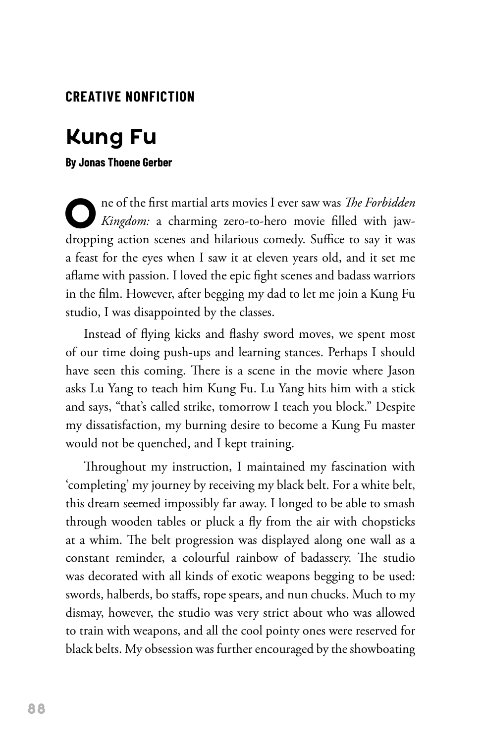### **CREATIVE NONFICTION**

### **Kung Fu**

#### **By Jonas Thoene Gerber**

**O**ne of the first martial arts movies I ever saw was *The Forbidden Kingdom:* a charming zero-to-hero movie filled with jawdropping action scenes and hilarious comedy. Suffice to say it was a feast for the eyes when I saw it at eleven years old, and it set me aflame with passion. I loved the epic fight scenes and badass warriors in the film. However, after begging my dad to let me join a Kung Fu studio, I was disappointed by the classes.

Instead of flying kicks and flashy sword moves, we spent most of our time doing push-ups and learning stances. Perhaps I should have seen this coming. There is a scene in the movie where Jason asks Lu Yang to teach him Kung Fu. Lu Yang hits him with a stick and says, "that's called strike, tomorrow I teach you block." Despite my dissatisfaction, my burning desire to become a Kung Fu master would not be quenched, and I kept training.

Throughout my instruction, I maintained my fascination with 'completing' my journey by receiving my black belt. For a white belt, this dream seemed impossibly far away. I longed to be able to smash through wooden tables or pluck a fly from the air with chopsticks at a whim. The belt progression was displayed along one wall as a constant reminder, a colourful rainbow of badassery. The studio was decorated with all kinds of exotic weapons begging to be used: swords, halberds, bo staffs, rope spears, and nun chucks. Much to my dismay, however, the studio was very strict about who was allowed to train with weapons, and all the cool pointy ones were reserved for black belts. My obsession was further encouraged by the showboating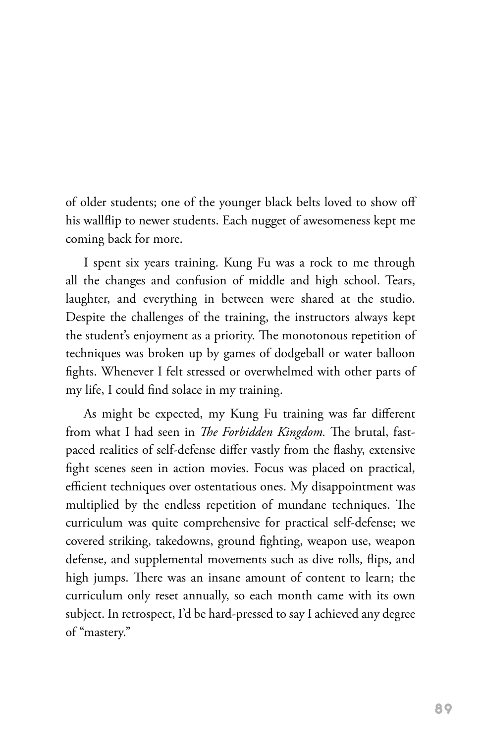of older students; one of the younger black belts loved to show off his wallflip to newer students. Each nugget of awesomeness kept me coming back for more.

I spent six years training. Kung Fu was a rock to me through all the changes and confusion of middle and high school. Tears, laughter, and everything in between were shared at the studio. Despite the challenges of the training, the instructors always kept the student's enjoyment as a priority. The monotonous repetition of techniques was broken up by games of dodgeball or water balloon fights. Whenever I felt stressed or overwhelmed with other parts of my life, I could find solace in my training.

As might be expected, my Kung Fu training was far different from what I had seen in *The Forbidden Kingdom.* The brutal, fastpaced realities of self-defense differ vastly from the flashy, extensive fight scenes seen in action movies. Focus was placed on practical, efficient techniques over ostentatious ones. My disappointment was multiplied by the endless repetition of mundane techniques. The curriculum was quite comprehensive for practical self-defense; we covered striking, takedowns, ground fighting, weapon use, weapon defense, and supplemental movements such as dive rolls, flips, and high jumps. There was an insane amount of content to learn; the curriculum only reset annually, so each month came with its own subject. In retrospect, I'd be hard-pressed to say I achieved any degree of "mastery."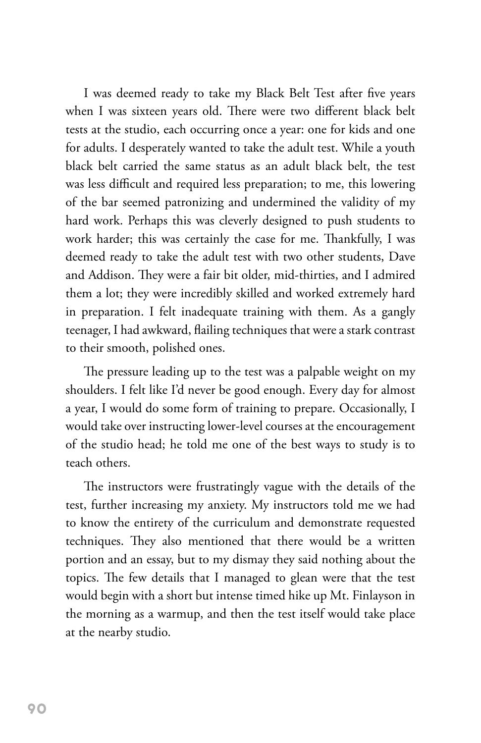I was deemed ready to take my Black Belt Test after five years when I was sixteen years old. There were two different black belt tests at the studio, each occurring once a year: one for kids and one for adults. I desperately wanted to take the adult test. While a youth black belt carried the same status as an adult black belt, the test was less difficult and required less preparation; to me, this lowering of the bar seemed patronizing and undermined the validity of my hard work. Perhaps this was cleverly designed to push students to work harder; this was certainly the case for me. Thankfully, I was deemed ready to take the adult test with two other students, Dave and Addison. They were a fair bit older, mid-thirties, and I admired them a lot; they were incredibly skilled and worked extremely hard in preparation. I felt inadequate training with them. As a gangly teenager, I had awkward, flailing techniques that were a stark contrast to their smooth, polished ones.

The pressure leading up to the test was a palpable weight on my shoulders. I felt like I'd never be good enough. Every day for almost a year, I would do some form of training to prepare. Occasionally, I would take over instructing lower-level courses at the encouragement of the studio head; he told me one of the best ways to study is to teach others.

The instructors were frustratingly vague with the details of the test, further increasing my anxiety. My instructors told me we had to know the entirety of the curriculum and demonstrate requested techniques. They also mentioned that there would be a written portion and an essay, but to my dismay they said nothing about the topics. The few details that I managed to glean were that the test would begin with a short but intense timed hike up Mt. Finlayson in the morning as a warmup, and then the test itself would take place at the nearby studio.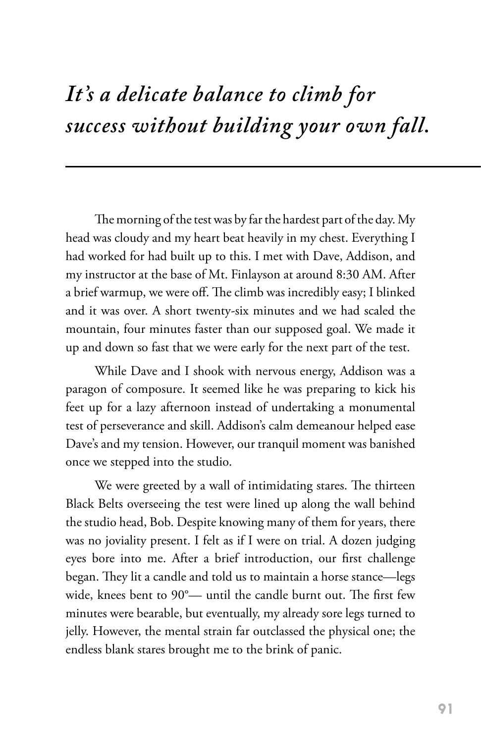## *It's a delicate balance to climb for success without building your own fall.*

The morning of the test was by far the hardest part of the day. My head was cloudy and my heart beat heavily in my chest. Everything I had worked for had built up to this. I met with Dave, Addison, and my instructor at the base of Mt. Finlayson at around 8:30 AM. After a brief warmup, we were off. The climb was incredibly easy; I blinked and it was over. A short twenty-six minutes and we had scaled the mountain, four minutes faster than our supposed goal. We made it up and down so fast that we were early for the next part of the test.

While Dave and I shook with nervous energy, Addison was a paragon of composure. It seemed like he was preparing to kick his feet up for a lazy afternoon instead of undertaking a monumental test of perseverance and skill. Addison's calm demeanour helped ease Dave's and my tension. However, our tranquil moment was banished once we stepped into the studio.

We were greeted by a wall of intimidating stares. The thirteen Black Belts overseeing the test were lined up along the wall behind the studio head, Bob. Despite knowing many of them for years, there was no joviality present. I felt as if I were on trial. A dozen judging eyes bore into me. After a brief introduction, our first challenge began. They lit a candle and told us to maintain a horse stance—legs wide, knees bent to 90°— until the candle burnt out. The first few minutes were bearable, but eventually, my already sore legs turned to jelly. However, the mental strain far outclassed the physical one; the endless blank stares brought me to the brink of panic.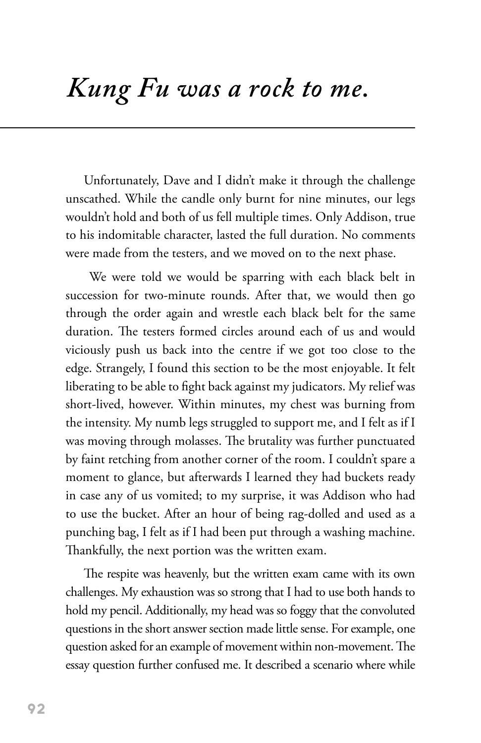# *Kung Fu was a rock to me.*

Unfortunately, Dave and I didn't make it through the challenge unscathed. While the candle only burnt for nine minutes, our legs wouldn't hold and both of us fell multiple times. Only Addison, true to his indomitable character, lasted the full duration. No comments were made from the testers, and we moved on to the next phase.

 We were told we would be sparring with each black belt in succession for two-minute rounds. After that, we would then go through the order again and wrestle each black belt for the same duration. The testers formed circles around each of us and would viciously push us back into the centre if we got too close to the edge. Strangely, I found this section to be the most enjoyable. It felt liberating to be able to fight back against my judicators. My relief was short-lived, however. Within minutes, my chest was burning from the intensity. My numb legs struggled to support me, and I felt as if I was moving through molasses. The brutality was further punctuated by faint retching from another corner of the room. I couldn't spare a moment to glance, but afterwards I learned they had buckets ready in case any of us vomited; to my surprise, it was Addison who had to use the bucket. After an hour of being rag-dolled and used as a punching bag, I felt as if I had been put through a washing machine. Thankfully, the next portion was the written exam.

The respite was heavenly, but the written exam came with its own challenges. My exhaustion was so strong that I had to use both hands to hold my pencil. Additionally, my head was so foggy that the convoluted questions in the short answer section made little sense. For example, one question asked for an example of movement within non-movement. The essay question further confused me. It described a scenario where while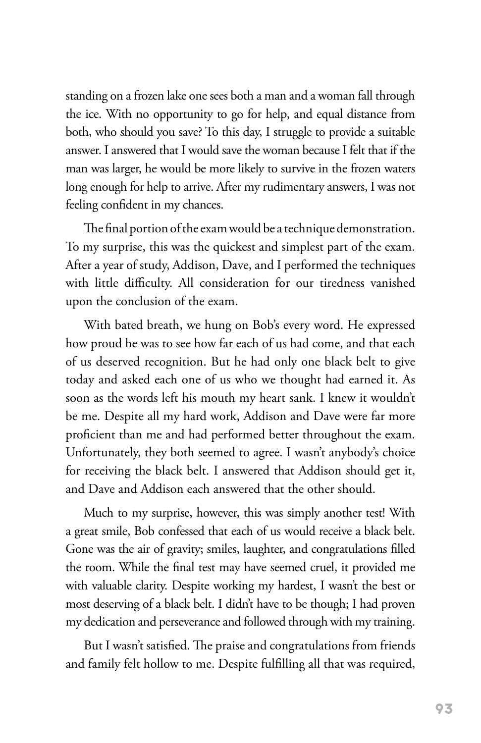standing on a frozen lake one sees both a man and a woman fall through the ice. With no opportunity to go for help, and equal distance from both, who should you save? To this day, I struggle to provide a suitable answer. I answered that I would save the woman because I felt that if the man was larger, he would be more likely to survive in the frozen waters long enough for help to arrive. After my rudimentary answers, I was not feeling confident in my chances.

The final portion of the exam would be a technique demonstration. To my surprise, this was the quickest and simplest part of the exam. After a year of study, Addison, Dave, and I performed the techniques with little difficulty. All consideration for our tiredness vanished upon the conclusion of the exam.

With bated breath, we hung on Bob's every word. He expressed how proud he was to see how far each of us had come, and that each of us deserved recognition. But he had only one black belt to give today and asked each one of us who we thought had earned it. As soon as the words left his mouth my heart sank. I knew it wouldn't be me. Despite all my hard work, Addison and Dave were far more proficient than me and had performed better throughout the exam. Unfortunately, they both seemed to agree. I wasn't anybody's choice for receiving the black belt. I answered that Addison should get it, and Dave and Addison each answered that the other should.

Much to my surprise, however, this was simply another test! With a great smile, Bob confessed that each of us would receive a black belt. Gone was the air of gravity; smiles, laughter, and congratulations filled the room. While the final test may have seemed cruel, it provided me with valuable clarity. Despite working my hardest, I wasn't the best or most deserving of a black belt. I didn't have to be though; I had proven my dedication and perseverance and followed through with my training.

But I wasn't satisfied. The praise and congratulations from friends and family felt hollow to me. Despite fulfilling all that was required,